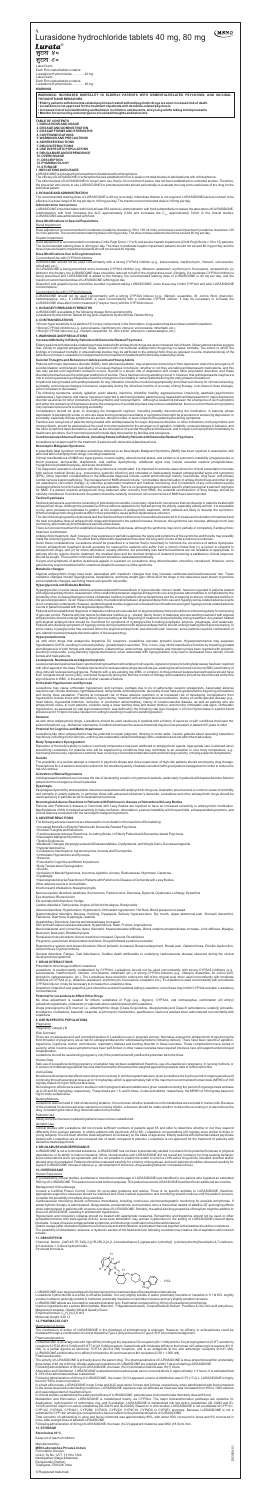# $(MS N<sub>D</sub>)$ RX Lurasidone hydrochloride tablets 40 mg, 80 mg Lurata® लुराटा ४० लुराटा ८० Label Claim Each Film coated tablet contains: Lurasidone Hydrochloride ….......... 40 mg Label Claim Each Film coated tablet contains:<br>Each Film coated tablet contains:<br>Lurasidone Hydrochloride ............. 80 mg Lurasidone Hydrochloride .... **WARNING WARNINGS: INCREASED MORTALITY IN ELDERLY PATIENTS WITH DEMENTIA-RELATED PSYCHOSIS; AND SUICIDAL** THOUGHTS AND BEHAVIORS<br>• Elderly patients with dementia-related psychosis treated with antipsychotic drugs are at an increased risk of death.<br>• Lurasidone is not approved for the treatment of patients with dementia-related **• Monitor for worsening and emergence of suicidal thoughts and behaviors TABLE OF CONTENTS 1. INDICATIONS AND USAGE 2. DOSAGE AND ADMINISTRATION 3. DOSAGE FORMS AND STRENGTHS 4. CONTRAINDICATIONS 5. WARNINGS AND PRECAUTIONS 6. ADVERSE REACTIONS 7. DRUG INTERACTIONS 8. USE IN SPECIFIC POPULATIONS 9. DRUG ABUSE AND DEPENDENCE 10. OVERDOSAGE 11. DESCRIPTION 12. PHARMACOLOGY 13. STORAGE**

LURASIDONE is indicated for the treatment of patients with schizophrenia.<br>The efficacy of LURASIDONE in schizophrenia was established in five 6-week controlled studies of adult patients with schizophrenia.<br>The effectivenes the physician who elects to use LURASIDONE for extended periods should periodically re-evaluate the long-term usefulness of the drug for the individual patient.

#### **1. INDICATIONS AND USAGE**

LURASIDONE should be taken with food (at least 350 calories). Administration with food substantially increases the absorption of LURASIDONE.<br>Administration with food increases the AUC approximately 2-fold and incr LURASIDONE was administered with food.

#### **2. DOSAGE AND ADMINISTRATION**

The recommended starting dose of LURASIDONE is 40 mg once daily. Initial dose titration is not required. LURASIDONE has been shown to be<br>effective in a dose range of 40 mg per day to 160 mg per day. The maximum recommended

#### **Administration Instructions**

#### **Dose Modifications in Special Populations**

#### Renal Impairment

Dose adjustment is recommended in moderate (creatinine clearance: 30 to <50 mL/min) and severe renal impairment (creatinine clearance <30<br>mL/min) patients. The recommended starting dose is 40 mg per day. The dose in these

Elderly patients with dementia-related psychosis treated with antipsychotic drugs are at an increased risk of death. Observational studies suggest that, similar to atypical antipsychotic drugs, treatment with conventional antipsychotic drugs may increase mortality. The extent to which the<br>findings of increased mortality in observational studies may be attributed to t

#### Hepatic Impairment

Dose adjustment is recommended in moderate (Child-Pugh Score = 7 to 9) and severe hepatic impairment (Child-Pugh Score = 10 to 15) patients.<br>The recommended starting dose is 40 mg per day. The dose in moderate hepatic impa

## **Dose Modifications Due to Drug Interactions**

Concomitant Use with CYP3A4 Inhibitors

LURASIDONE should not be used concomitantly with a strong CYP3A4 inhibitor (e.g., ketoconazole, clarithromycin, ritonavir, voriconazole,

mibefradil, etc.).<br>If LURASIDONE is being prescribed and a moderate CYP3A4 inhibitor (e.g. diltiazem, atazanavir, erythromycin, fluconazole, verapamil etc.) is<br>added to the therapy, the LURASIDONE dose should be reduced to

role in inducing worsening of depression and the emergence of suicidality in certain patients during the early phases of treatment.<br>All patients being treated with antidepressants for any indication should be monitored app either increases or decreases.

The following symptoms, anxiety, agitation, panic attacks, insomnia, irritability, hostility, aggressiveness, impulsivity, akathisia (psychomotor<br>restlessness), hypomania, and mania, have been reported in adult and pediart and either the worsening of depression and/or the emergence of suicidal impulses has not been established, there is concern that such symptoms may represent precursors to emerging suicidality.

maximum recommended dose of LURASIDONE is 80 mg per day. Grapefruit and grapefruit juice should be avoided in patients taking LURASIDONE, since these may inhibit CYP3A4 and alter LURASIDONE concentrations.

## Concomitant Use with CYP3A4 Inducers

LURASIDONE should not be used concomitantly with a strong CYP3A4 inducer (e.g., rifampin, avasimibe, St. John's Wort, phenytoin,<br>carbamazepine, etc.). If LURASIDONE is used concomitantly with a moderate CYP3A4 inducer, it

#### **3. DOSAGE FORMS AND STRENGTHS**

LURASIDONE is available in the following dosage forms and strengths Lurasidone Hydrochloride Tablets 40 mg and Lurasidone Hydrochloride Tablets 80 mg.

## **4. CONTRAINDICATIONS**

• Known hypersensitivity to lurasidone HCl or any components in the formulation. Angioedema has been observed with lurasidone.<br>• Strong CYP3A4 inhibitors (e.g., ketoconazole, clarithromycin, ritonavir, voriconazole, mibefr

- 
- 

## **5. WARNINGS AND PRECAUTIONS**

## **Increased Mortality in Elderly Patients with Dementia-Related Psychosis**

## **Suicidal Thoughts and Behaviors in Adolescents and Young Adults**

Patients with major depressive disorder (MDD), both adult and pediatric, may experience worsening of their depression and/or the emergence of<br>suicidal ideation and behavior (suicidality) or unusual changes in behavior, whe

Consideration should be given to changing the therapeutic regimen, including possibly discontinuing the medication, in patients whose

depression is persistently worse, or who are experiencing emergent suicidality or symptoms that might be precursors to worsening depression or<br>suicidality, especially if these symptoms are severe, abruptin onset, or were n

**Cerebrovascular Adverse Reactions, Including Stroke in Elderly Patients with Dementia-Related Psychosis**

## Lurasidone is not approved for the treatment of patients with dementia-related psychosis.

## **Neuroleptic Malignant Syndrome**

A potentially fatal symptom complex sometimes referred to as Neuroleptic Malignant Syndrome (NMS) has been reported in association with administration of antipsychotic drugs, including lurasidone.

Clinical manifestations of NMS are hyperpyrexia, muscle rigidity, altered mental status, and evidence of autonomic instability (irregular pulse or<br>blood pressure, tachycardia, diaphoresis, and cardiac dysrhythmia).

The diagnostic evaluation of patients with this syndrome is complicated. It is important to exclude cases where the clinical presentation includes<br>both serious medical illness (e.g., pneumonia, systemic infection) and untr central nervous system pathology. The management of NMS should include: 1) immediate discontinuation of antipsychotic drugs and other drugs<br>not essential to concurrent therapy; 2) intensive symptomatic treatment and medica

Disruption of the body's ability to reduce core body temperature has been attributed to antipsychotic agents. Appropriate care is advised when<br>prescribing Lurasidone for patients who will be experiencing conditions that ma **Suicide** 

The possibility of a suicide attempt is inherent in psychotic illness and close supervision of high-risk patients should accompany drug therapy.<br>Prescriptions for Lurasidone should be written for the smallest quantity of t risk of overdose.

• Neuroleptic Malignant Syndrome<br>• Tardive Dyskinesia.<br>• Metabolic Changes (Hyperglycemia and Diabetes Mellitus, Dyslipidemia, and Weight Gain), Decreased appetite. • Hyperprolactinemia

## **Tardive Dyskinesia**

Tardive dyskinesia is a syndrome consisting of potentially irreversible, involuntary, dyskinetic movements that can develop in patients treated with<br>antipsychotic drugs. Although the prevalence of the syndrome appears to b

the total cumulative dose of antipsychotic drugs administered to the patient increase. However, the syndrome can develop, although much less commonly, after relatively brief treatment periods at low doses.

There is no known treatment for established cases of tardive dyskinesia, although the syndrome may remit, partially or completely, if antipsychotic treatment is withdrawn.

Antipsychotic treatment, itself, however, may suppress (or partially suppress) the signs and symptoms of the syndrome and thereby may possibly<br>mask the underlying process. The effect that symptomatic suppression has upon t

Given these considerations, Lurasidone should be prescribed in a manner that is most likely to minimize the occurrence of tardive dyskinesia.<br>Chronic antipsychotic treatment should generally be reserved for patients who su

Drugs prolonging the QTc interval: i.e., antiarrhythmic drugs: [Class IA (quinidine, disopyramide) and Class III (amiodarone, sotalol)], pimozide,<br>thioridazine, methadone, beperidil, cisapride, erythromycin, halofantrine, lurasidone

There are no adequate and well controlled studies of Lurasidone use in pregnant women. Neonates exposed to antipsychotic drugs during the<br>third trimester of pregnancy are at risk for extrapyramidal and/or withdrawal sympto hospitalization.

Safe use of Lurasidone during pregnancy or lactation has not been established; therefore, use of Lurasidone in pregnancy, in nursing mothers, or<br>in women of childbearing potential requires that the benefits of treatment be *Animal Data*

No adverse developmental effects were observed in a study in which pregnant rats were given Lurasidone during the period of organogenesis and<br>continuing through weaning at doses up to 10 mg/kg/day, which is approximately h

No teratogenic effects were seen in studies in which pregnant rats and rabbits were given lurasidone during the period of organogenesis at doses<br>up to 25 and 50 mg/kg/day, respectively. These doses are 1.5- and 6-times, in

If signs and symptoms of tardive dyskinesia appear in a patient on Lurasidone, drug discontinuation should be considered. However, some patients may require treatment with Lurasidone despite the presence of the syndrome.

## **Metabolic changes**

Atypical antipsychotic drugs have been associated with metabolic changes that may increase cardiovascular/cerebrovascular risk. These<br>metabolic changes include hyperglycemia, dyslipidemia, and body weight gain. While all o

#### **Hyperglycemia and Diabetes Mellitus**

Hyperglycemia, in some cases extreme and associated with ketoacidosis or hyperosmolar coma or death, has been reported in patients treated with stripical antipsychotic as and glucose aboromalities is complicated by the pos

Clinical studies with Lurasidone did not include sufficient numbers of patients aged 65 and older to determine whether or not they respond<br>differently from younger patients. In elderly patients with psychosis (65 to 85), L dementia-related psychosis.

## **Hyperprolactinemia**

As with other drugs that antagonize dopamine D2 receptors, Lurasidone elevates prolactin levels. Hyperprolactinemia may suppress hypothalamic GnRH, resulting in reduced pituitary gonadotrophin secretion. This, in turn, may inhibit reproductive function by impairing gonadal<br>steroidogenesis in both female and male patients. Galactorrhea, amenorrhea, female and male patients.

#### **Leukopenia, Neutropenia and Agranulocytosis**

Leukopenia/neutropenia has been reported during treatment with antipsychotic agents. Agranulocytosis (including fatal cases) has been reported<br>with other agents in the class. Possible risk factors for leukopenia/neutropeni

## **Orthostatic Hypotension and Syncope**

Lurasidone may cause orthostatic hypotension and syncope, perhaps due to its α1-adrenergic receptor antagonism. Associated adverse<br>reactions can include dizziness, lightheadedness, tachycardia, and bradycardia. Generally, antipsychotic-naïve. In such patients, consider using a lower starting dose and slower titration, and monitor orthostatic vital signs. Orthostatic<br>hypotension, as assessed by vital sign measurement, was defined by the fol

#### **Seizures**

As with other antipsychotic drugs, Lurasidone should be used cautiously in patients with a history of seizures or with conditions that lower the<br>seizure threshold, e.g., Alzheimer's dementia. Conditions that lower the seiz

## **Potential for Cognitive and Motor Impairment**

Lurasidone like other antipsychotics has the potential to impair judgment, thinking or motor skills. Caution patients about operating hazardous<br>machinery, including motor vehicles, until they are reasonably certain that th

### **Body Temperature Dysregulation**

## **Activation of Mania/Hypomania**

Antidepressant treatment can increase the risk of developing a manic or hypomanic episode, particularly in patients with bipolar disorder. Monitor patients for the emergence of such episodes.

#### **Dysphagia**

Esophageal dysmotility and aspiration have been associated with antipsychotic drug use. Aspiration pneumonia is a common cause of morbidity<br>and mortality in elderly patients, in particular those with advanced Alzheimer's d

## **Neurological Adverse Reactions in Patients with Parkinson's disease or Dementia with Lewy Bodies**

Patients with Parkinson's disease or Dementia with Lewy Bodies are reported to have an increased sensitivity to antipsychotic medication.<br>Manifestations of this increased sensitivity include confusion, obtundation, postura

### **6. ADVERSE REACTIONS**

The following adverse reactions are discussed in more detail in other sections of the labeling:

• Increased Mortality in Elderly Patients with Dementia-Related Psychosis.

• Suicidal Thoughts and Behaviors.

• Cerebrovascular Adverse Reactions, Including Stroke, in Elderly Patients with Dementia-related Psychosis.

• Leukopenia, Neutropenia, Agranulocytosis, Anemia and Eosinophilia • Orthostatic Hypotension and Syncope.

• Seizures. • Potential for Cognitive and Motor Impairment.

#### • Body Temperature Dysregulation. • Suicide.

• Activation of Mania/Hypomania, Insomnia, Agitation, Anxiety, Restlessness, Nightmare, Catatonia.

## • Dysphagia.

• Neurological Adverse Reactions in Patients with Parkinson's Disease or Dementia with Lewy Bodies.

Other adverse events in clinical trials:

Infections and infestations: Nasopharyngitis

Nervous system disorders: Akathisia, Somnolence, Parkinsonism, Dizziness, Dystonia, Dyskinesia, Lethargy, Dysarthria

# Eye disorders: Blurred vision

Ear and labyrinth disorders: Vertigo

Cardiac disorders: Tachycardia, Angina, AV block first degree, Bradycardia

Vascular disorders: Hypertension, Hypotension, Orthostatic hypotension, Hot flush, Blood pressure increased

Gastrointestinal disorders: Nausea, Vomiting, Dyspepsia, Salivary hypersecretion, Dry mouth, Upper abdominal pain, Stomach discomfort, Flatulence, Diarrhoea, Dysphagia, Gastritis

Hepatobiliary Disorders: Alanine aminotransferase increased Skin and subcutaneous tissue disorders: Hyperhidrosis, Rash, Pruritus, Angioedema

Musculoskeletal and connective tissue disorders: Musculoskeletal stiffness, Blood creatine phosphokinase increase, Joint stiffness, Myalgia, Neck pain, Back pain, Rhabdomyolysis

Renal and urinary disorders: Serum creatinine increased, Dysuria, Renal failure

Pregnancy, puerperium and perinatal conditions: Drug withdrawal syndrome neonatal Reproductive system and breast disorders: Blood prolactin increased, Breast enlargement, Breast pain, Galactorrhoea, Erectile dysfunction, Amenorrhoea, Dysmenorrhoea

General disorders: Fatigue, Gait disturbance, Sudden death attributable to underlying cardiovascular disease observed during the clinical development programme

#### **7. DRUG INTERACTIONS**

Potential for other drugs to affect Lurasidone<br>Lurasidone is predominantly metabolized by CYP3A4. Lurasidone should not be used concomitantly with strong CYP3A4 inhibitors (e.g.,<br>Lurasidone is predominantly metabolized by

Grapefruit: Grapefruit and grapefruit juice should be avoided in patients taking Lurasidone, since these may inhibit CYP3A4 and alter Lurasidone concentrations.

## **Potential for Lurasidone to Affect Other Drugs**

No dose adjustment is needed for lithium, substrates of P-gp (e.g., digoxin), CYP3A4, oral contraceptive combination pill ethinyl<br>estradiol/norgestimate, midazolam or valproate when coadministered with lurasidone.

#### **8. USE IN SPECIFIC POPULATIONS**

Pregnancy

# Pregnancy Category B

*Risk Summary*

Lurasidone should be used during pregnancy only if the potential benefit justifies the potential risk to the fetus.

#### *Human Data*

#### Nursing Mothers

Lurasidone was excreted in milk of rats during lactation. It is not known whether lurasidone or its metabolites are excreted in human milk. Because of the potential for serious adverse reactions in nursing infants, a decision should be made whether to discontinue nursing or to discontinue the drug, considering the risk of drug discontinuation to the mother.

#### Pediatric Use

Safety and effectiveness in pediatric patients have not been established.

## Geriatric Use

#### **9. DRUG ABUSE AND DEPENDANCE**

LURASIDONE is not a controlled substance. LURASIDONE has not been systematically studied in humans for its potential for abuse or physical<br>dependence or its ability to induce tolerance. While clinical studies with LURASIDO

## **10. OVERDOSAGE**

## Human Experience

In premarketing clinical studies, accidental or intentional overdosage of LURASIDONE was identified in one patient who ingested an estimated<br>560 mg of LURASIDONE. This patient recovered without sequelae. This patient resum

## Management of Overdosage

Consult a Certified Poison Control Center for up-to-date guidance and advice. There is no specific antidote to LURASIDONE, therefore, appropriate supportive measures should be instituted and close medical supervision and m

#### **11. DESCRIPTION**

Chemical Name: (3aR,4S,7R,7aS)-2-{(1R,2R)-2-[4-(1,2-benzisothiazol-3-yl)piperazin-1ylmethyl] cyclohexylmethyl}hexahydro-4,7-methano-2H-isoindole-1,3-dione hydrochloride. Structural formula is:

LURASIDONE is an atypical antipsychotic belonging to the chemical class of benzisothiazol derivatives.

Lurasidone hydrochloride is a white to off-white powder. It is very slightly soluble in water, practically insoluble or insoluble in 0.1 N HCl, slightly<br>soluble in ethanol, sparingly soluble in methanol, practically insol

Magnesium stearate, Opadry White & Opadry Green<br>Empirical formula: C<sub>28</sub>H<sub>38</sub>N<sub>4</sub>O<sub>2</sub>S·HCl<br>Molecular weight: 529.14

## **12. PHARMACOLOGY**

Mechanism of Action:

The mechanism of action of LURASIDONE in the treatment of schizophrenia is unknown. However, its efficacy in schizophrenia could be<br>mediated through a combination of central dopamine Type 2 (D2) and serotonin Type 2 (5HT2A

#### Pharmacodynamics:

LURASIDONE is an antagonist with high affinity binding at the dopamine D2 receptors (Ki=1 nM) and the 5-hydroxytryptamine (5-HT, serotonin)<br>receptors 5-HT2A (Ki=0.5 nM) and 5-HT7 (Ki=0.5 nM) receptors. It also binds with

Pharmacokinetics:<br>The activity of LURASIDONE is primarily due to the parent drug. The pharmacokinetics of LURASIDONE is dose-proportional within a total daily<br>The activity of LURASIDONE is primarily due to the parent drug.

In clinical studies, establishing the safety and efficacy of LURASIDONE, patients were instructed to take their daily dose with food.<br>Metabolism and Ellimination: LURASIDONE is metabolized mainly via CYP3A4. The major biot

Following administration of 40 mg of LURASIDONE, the mean (%CV) apparent clearance was 3902 (18.0) mL/min.

#### **13. STORAGE Store below 30°C.**

Keep out of reach of children

Manufactured by: **MSN Laboratories Private Limited,** Formulation Division, Unit-II, Sy.No. 1277, 1319 to 1324, Nandigama (Village & Mandal), Rangareddy (District), Telangana - 509 228, India.

® Registered trademark

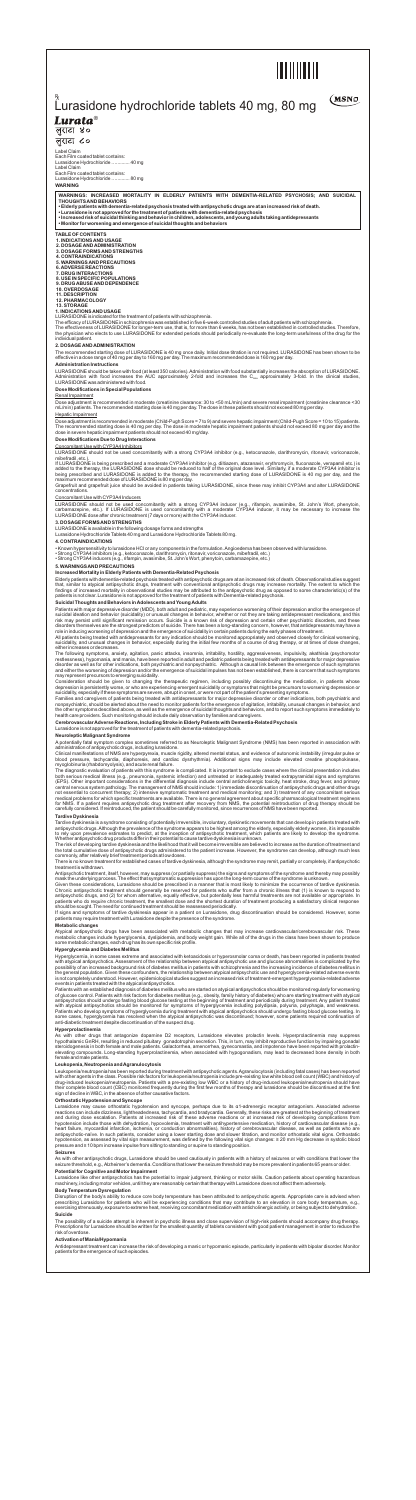# IIIIIIIIII

# $(MS N<sub>D</sub>)$ Lurasidone hydrochloride tablets 40 mg, 80 mg Lurata<sup>®</sup> लुराटा ४० लुराटा ८० Label Claim Each Film coated tablet contains: Lurasidone Hydrochloride ….......... 40 mg Label Claim<br>Each Film coa ated tablet contains:<br>Ivdrochloride …………. 80 mg Lurasidone Hydrochloride ..... **WARNING WARNINGS: INCREASED MORTALITY IN ELDERLY PATIENTS WITH DEMENTIA-RELATED PSYCHOSIS; AND SUICIDAL** THOUGHTS AND BEHAVIORS<br>• Elderly patients with dementia-related psychosis treated with antipsychotic drugs are at an increased risk of death.<br>• Lurasidone is not approved for the treatment of patients with dementia-related **• Monitor for worsening and emergence of suicidal thoughts and behaviors TABLE OF CONTENTS 1. INDICATIONS AND USAGE 2. DOSAGE AND ADMINISTRATION 3. DOSAGE FORMS AND STRENGTHS 4. CONTRAINDICATIONS 5. WARNINGS AND PRECAUTIONS 6. ADVERSE REACTIONS 7. DRUG INTERACTIONS 8. USE IN SPECIFIC POPULATIONS 9. DRUG ABUSE AND DEPENDENCE 10. OVERDOSAGE 11. DESCRIPTION 12. PHARMACOLOGY 13. STORAGE 1. INDICATIONS AND USAGE**  LURASIDONE is indicated for the treatment of patients with schizophrenia.<br>The efficacy of LURASIDONE in schizophrenia was established in five 6-week controlled studies of adult patients with schizophrenia.<br>The effectivenes the physician who elects to use LURASIDONE for extended periods should periodically re-evaluate the long-term usefulness of the drug for the individual patient. **2. DOSAGE AND ADMINISTRATION** The recommended starting dose of LURASIDONE is 40 mg once daily. Initial dose titration is not required. LURASIDONE has been shown to be<br>effective in a dose range of 40 mg per day to 160 mg per day. The maximum recommended **Administration Instructions**  LURASIDONE should be taken with food (at least 350 calories). Administration with food substantially increases the absorption of LURASIDONE.<br>Administration with food increases the AUC approximately 2-fold and incr LURASIDONE was administered with food. **Dose Modifications in Special Populations**  Renal Impairment Dose adjustment is recommended in moderate (creatinine clearance: 30 to <50 mL/min) and severe renal impairment (creatinine clearance <30<br>mL/min) patients. The recommended starting dose is 40 mg per day. The dose in these Hepatic Impairment Dose adjustment is recommended in moderate (Child-Pugh Score = 7 to 9) and severe hepatic impairment (Child-Pugh Score = 10 to 15) patients.<br>The recommended starting dose is 40 mg per day. The dose in moderate hepatic impa **Dose Modifications Due to Drug Interactions**  Concomitant Use with CYP3A4 Inhibitors LURASIDONE should not be used concomitantly with a strong CYP3A4 inhibitor (e.g., ketoconazole, clarithromycin, ritonavir, voriconazole, mibefradil, etc.).<br>If LURASIDONE is being prescribed and a moderate CYP3A4 inhibitor (e.g. diltiazem, atazanavir, erythromycin, fluconazole, verapamil etc.) is<br>added to the therapy, the LURASIDONE dose should be reduced to maximum recommended dose of LURASIDONE is 80 mg per day. Grapefruit and grapefruit juice should be avoided in patients taking LURASIDONE, since these may inhibit CYP3A4 and alter LURASIDONE concentrations. Concomitant Use with CYP3A4 Inducers LURASIDONE should not be used concomitantly with a strong CYP3A4 inducer (e.g., rifampin, avasimibe, St. John's Wort, phenytoin,<br>carbamazepine, etc.). If LURASIDONE is used concomitantly with a moderate CYP3A4 inducer, it **3. DOSAGE FORMS AND STRENGTHS**  LURASIDONE is available in the following dosage forms and strengths Lurasidone Hydrochloride Tablets 40 mg and Lurasidone Hydrochloride Tablets 80 mg. **4. CONTRAINDICATIONS** • Known hypersensitivity to lurasidone HCl or any components in the formulation. Angioedema has been observed with lurasidone.<br>• Strong CYP3A4 inhibitors (e.g., ketoconazole, clarithromycin, ritonavir, voriconazole, mibefr

Elderly patients with dementia-related psychosis treated with antipsychotic drugs are at an increased risk of death. Observational studies suggest that, similar to atypical antipsychotic drugs, treatment with conventional antipsychotic drugs may increase mortality. The extent to which the<br>findings of increased mortality in observational studies may be attributed to t

The following symptoms, anxiety, agitation, panic attacks, insomnia, irritability, hostility, aggressiveness, impulsivity, akathisia (psychomotor<br>restlessness), hypomania, and mania, have been reported in adult and pediart and either the worsening of depression and/or the emergence of suicidal impulses has not been established, there is concern that such symptoms may represent precursors to emerging suicidality.

Consideration should be given to changing the therapeutic regimen, including possibly discontinuing the medication, in patients whose depression is persistently worse, or who are experiencing emergent suicidality or symptoms that might be precursors to worsening depression or<br>suicidality, especially if these symptoms are severe, abrupt in onset, or were

nonpsychiatric, should be alerted about the need to monitor patients for the emergence of agitation, irritability, unusual changes in behavior, and<br>the other symptoms described above, as well as the emergence of suicidal t

**5. WARNINGS AND PRECAUTIONS**

#### **Increased Mortality in Elderly Patients with Dementia-Related Psychosis**

The diagnostic evaluation of patients with this syndrome is complicated. It is important to exclude cases where the clinical presentation includes<br>both serious medical illness (e.g., pneumonia, systemic infection) and untr central nervous system pathology. The management of NMS should include: 1) immediate discontinuation of antipsychotic drugs and other drugs<br>not essential to concurrent therapy; 2) intensive symptomatic treatment and medica carefully considered. If reintroduced, the patient should be carefully monitored, since recurrences of NMS have been reported.

## **Suicidal Thoughts and Behaviors in Adolescents and Young Adults**

Patients with major depressive disorder (MDD), both adult and pediatric, may experience worsening of their depression and/or the emergence of<br>suicidal ideation and behavior (suicidality) or unusual changes in behavior, whe

Given these considerations, Lurasidone should be prescribed in a manner that is most likely to minimize the occurrence of tardive dyskinesia.<br>Chronic antipsychotic treatment should generally be reserved for patients who su should be sought. The need for continued treatment should be reassessed periodically.

either increases or decreases.

Patients with an established diagnosis of diabetes mellitus who are started on atypical antipsychotics should be monitored regularly for worsening of glucose control. Patients with risk factors for diabetes mellitus (e.g., obesity, family history of diabetes) who are starting treatment with atypical<br>antipsychotics should undergo fasting blood glucose testing at the b

## **Cerebrovascular Adverse Reactions, Including Stroke in Elderly Patients with Dementia-Related Psychosis**

Lurasidone is not approved for the treatment of patients with dementia-related psychosis.

#### **Neuroleptic Malignant Syndrome**

A potentially fatal symptom complex sometimes referred to as Neuroleptic Malignant Syndrome (NMS) has been reported in association with administration of antipsychotic drugs, including lurasidone.

Clinical manifestations of NMS are hyperpyrexia, muscle rigidity, altered mental status, and evidence of autonomic instability (irregular pulse or<br>blood pressure, tachycardia, diaphoresis, and cardiac dysrhythmia).

The possibility of a suicide attempt is inherent in psychotic illness and close supervision of high-risk patients should accompany drug therapy.<br>Prescriptions for Lurasidone should be written for the smallest quantity of t risk of overdose.

#### **Tardive Dyskinesia**

Tardive dyskinesia is a syndrome consisting of potentially irreversible, involuntary, dyskinetic movements that can develop in patients treated with<br>antipsychotic drugs. Although the prevalence of the syndrome appears to b

the total cumulative dose of antipsychotic drugs administered to the patient increase. However, the syndrome can develop, although much less commonly, after relatively brief treatment periods at low doses.

There is no known treatment for established cases of tardive dyskinesia, although the syndrome may remit, partially or completely, if antipsychotic treatment is withdrawn.

Antipsychotic treatment, itself, however, may suppress (or partially suppress) the signs and symptoms of the syndrome and thereby may possibly<br>mask the underlying process. The effect that symptomatic suppression has upon t

If signs and symptoms of tardive dyskinesia appear in a patient on Lurasidone, drug discontinuation should be considered. However, some patients may require treatment with Lurasidone despite the presence of the syndrome.

## **Metabolic changes**

Atypical antipsychotic drugs have been associated with metabolic changes that may increase cardiovascular/cerebrovascular risk. These<br>metabolic changes include hyperglycemia, dyslipidemia, and body weight gain. While all o

## **Hyperglycemia and Diabetes Mellitus**

Hyperglycemia, in some cases extreme and associated with ketoacidosis or hyperosmolar coma or death, has been reported in patients treated<br>with atypical antipsychotics. Assessment of the relationship between atypical antip is not completely understood. However, epidemiological studies suggest an increased risk of treatment-emergent hyperglycemia-related adverse<br>events in patients treated with the atypical antipsychotics.

## **Hyperprolactinemia**

As with other drugs that antagonize dopamine D2 receptors, Lurasidone elevates prolactin levels. Hyperprolactinemia may suppress hypothalamic GnRH, resulting in reduced pituitary gonadotrophin secretion. This, in turn, may inhibit reproductive function by impairing gonadal<br>steroidogenesis in both female and male patients. Galactorrhea, amenorrhea, female and male patients.

#### **Leukopenia, Neutropenia and Agranulocytosis**

Leukopenia/neutropenia has been reported during treatment with antipsychotic agents. Agranulocytosis (including fatal cases) has been reported<br>with other agents in the class. Possible risk factors for leukopeniajne include their complete blood count (CBC) monitored frequently during the first few months of therapy and lurasidone should be discontinued at the first<br>sign of decline in WBC, in the absence of other causative factors.

## **Orthostatic Hypotension and Syncope**

Lurasidone may cause orthostatic hypotension and syncope, perhaps due to its α1-adrenergic receptor antagonism. Associated adverse<br>reactions can include dizziness, lightheadedness, tachycardia, and bradycardia. Generally, heart failure, myocardial infarction, ischemia, or conduction abnormalities), history of cerebrovascular disease, as well as patients who are antipsychotic-naïve. In such patients, consider using a lower starting dose and slower titration, and monitor orthostatic vital signs. Orthostatic<br>hypotension, as assessed by vital sign measurement, was defined by the fol

## **Seizures**

As with other antipsychotic drugs, Lurasidone should be used cautiously in patients with a history of seizures or with conditions that lower the<br>seizure threshold, e.g., Alzheimer's dementia. Conditions that lower the seiz

# **Potential for Cognitive and Motor Impairment**

Lurasidone like other antipsychotics has the potential to impair judgment, thinking or motor skills. Caution patients about operating hazardous<br>machinery, including motor vehicles, until they are reasonably certain that th

## **Body Temperature Dysregulation**

Disruption of the body's ability to reduce core body temperature has been attributed to antipsychotic agents. Appropriate care is advised when prescribing Lurasidone for patients who will be experiencing conditions that may contribute to an elevation in core body temperature, e.g.,<br>exercising strenuously, exposure to extreme heat, receiving concomitant medication **Suicide** 

## **Activation of Mania/Hypomania**

Antidepressant treatment can increase the risk of developing a manic or hypomanic episode, particularly in patients with bipolar disorder. Monitor patients for the emergence of such episodes.

RX